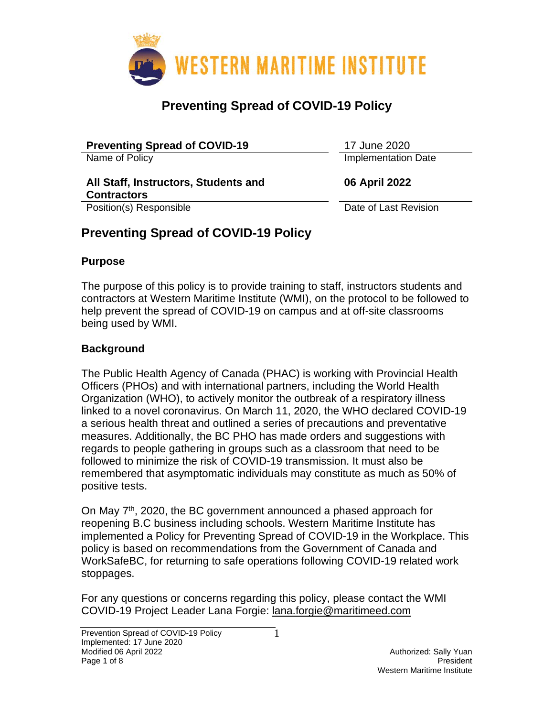

| <b>Preventing Spread of COVID-19</b>                       | 17 June 2020               |
|------------------------------------------------------------|----------------------------|
| Name of Policy                                             | <b>Implementation Date</b> |
| All Staff, Instructors, Students and<br><b>Contractors</b> | 06 April 2022              |
| Position(s) Responsible                                    | Date of Last Revision      |
| $D_{\text{measured}}$                                      |                            |

## **Preventing Spread of COVID-19 Policy**

#### **Purpose**

The purpose of this policy is to provide training to staff, instructors students and contractors at Western Maritime Institute (WMI), on the protocol to be followed to help prevent the spread of COVID-19 on campus and at off-site classrooms being used by WMI.

### **Background**

The Public Health Agency of Canada (PHAC) is working with Provincial Health Officers (PHOs) and with international partners, including the World Health Organization (WHO), to actively monitor the outbreak of a respiratory illness linked to a novel coronavirus. On March 11, 2020, the WHO declared COVID-19 a serious health threat and outlined a series of precautions and preventative measures. Additionally, the BC PHO has made orders and suggestions with regards to people gathering in groups such as a classroom that need to be followed to minimize the risk of COVID-19 transmission. It must also be remembered that asymptomatic individuals may constitute as much as 50% of positive tests.

On May 7th, 2020, the BC government announced a phased approach for reopening B.C business including schools. Western Maritime Institute has implemented a Policy for Preventing Spread of COVID-19 in the Workplace. This policy is based on recommendations from the Government of Canada and WorkSafeBC, for returning to safe operations following COVID-19 related work stoppages.

For any questions or concerns regarding this policy, please contact the WMI COVID-19 Project Leader Lana Forgie: [lana.forgie@maritimeed.com](mailto:lana.forgie@maritimeed.com)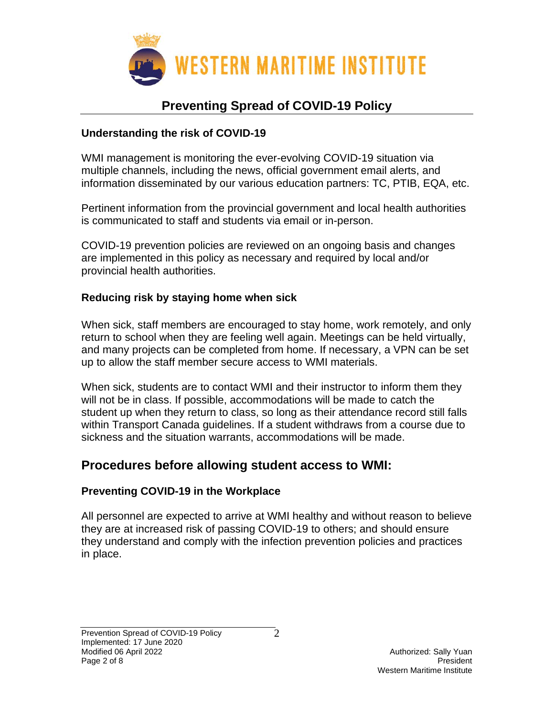

### **Understanding the risk of COVID-19**

WMI management is monitoring the ever-evolving COVID-19 situation via multiple channels, including the news, official government email alerts, and information disseminated by our various education partners: TC, PTIB, EQA, etc.

Pertinent information from the provincial government and local health authorities is communicated to staff and students via email or in-person.

COVID-19 prevention policies are reviewed on an ongoing basis and changes are implemented in this policy as necessary and required by local and/or provincial health authorities.

### **Reducing risk by staying home when sick**

When sick, staff members are encouraged to stay home, work remotely, and only return to school when they are feeling well again. Meetings can be held virtually, and many projects can be completed from home. If necessary, a VPN can be set up to allow the staff member secure access to WMI materials.

When sick, students are to contact WMI and their instructor to inform them they will not be in class. If possible, accommodations will be made to catch the student up when they return to class, so long as their attendance record still falls within Transport Canada guidelines. If a student withdraws from a course due to sickness and the situation warrants, accommodations will be made.

### **Procedures before allowing student access to WMI:**

### **Preventing COVID-19 in the Workplace**

All personnel are expected to arrive at WMI healthy and without reason to believe they are at increased risk of passing COVID-19 to others; and should ensure they understand and comply with the infection prevention policies and practices in place.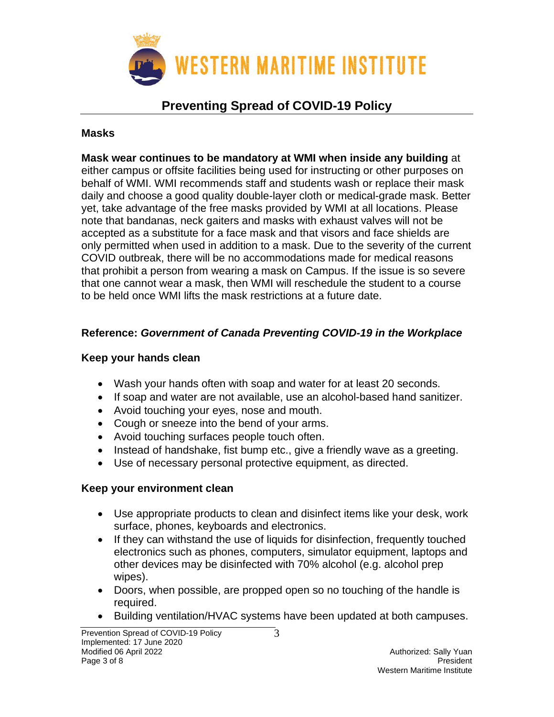

#### **Masks**

**Mask wear continues to be mandatory at WMI when inside any building** at either campus or offsite facilities being used for instructing or other purposes on behalf of WMI. WMI recommends staff and students wash or replace their mask daily and choose a good quality double-layer cloth or medical-grade mask. Better yet, take advantage of the free masks provided by WMI at all locations. Please note that bandanas, neck gaiters and masks with exhaust valves will not be accepted as a substitute for a face mask and that visors and face shields are only permitted when used in addition to a mask. Due to the severity of the current COVID outbreak, there will be no accommodations made for medical reasons that prohibit a person from wearing a mask on Campus. If the issue is so severe that one cannot wear a mask, then WMI will reschedule the student to a course to be held once WMI lifts the mask restrictions at a future date.

### **Reference:** *Government of Canada Preventing COVID-19 in the Workplace*

### **Keep your hands clean**

- Wash your hands often with soap and water for at least 20 seconds.
- If soap and water are not available, use an alcohol-based hand sanitizer.
- Avoid touching your eyes, nose and mouth.
- Cough or sneeze into the bend of your arms.
- Avoid touching surfaces people touch often.
- Instead of handshake, fist bump etc., give a friendly wave as a greeting.
- Use of necessary personal protective equipment, as directed.

### **Keep your environment clean**

- Use appropriate products to clean and disinfect items like your desk, work surface, phones, keyboards and electronics.
- If they can withstand the use of liquids for disinfection, frequently touched electronics such as phones, computers, simulator equipment, laptops and other devices may be disinfected with 70% alcohol (e.g. alcohol prep wipes).
- Doors, when possible, are propped open so no touching of the handle is required.

3

• Building ventilation/HVAC systems have been updated at both campuses.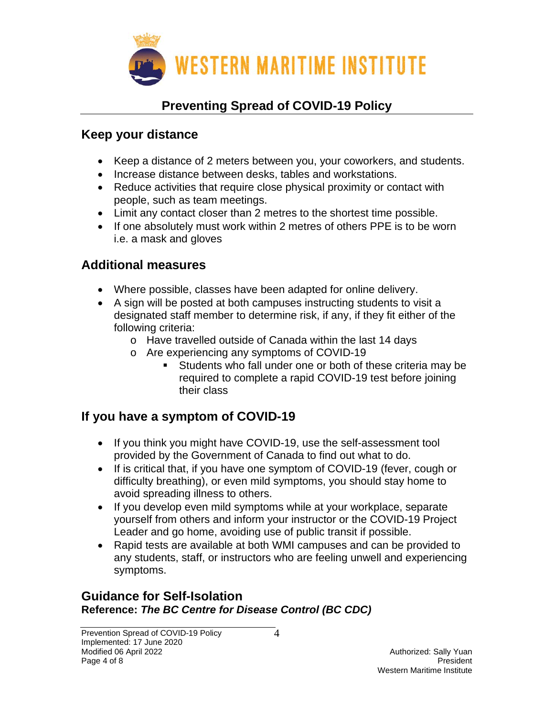

### **Keep your distance**

- Keep a distance of 2 meters between you, your coworkers, and students.
- Increase distance between desks, tables and workstations.
- Reduce activities that require close physical proximity or contact with people, such as team meetings.
- Limit any contact closer than 2 metres to the shortest time possible.
- If one absolutely must work within 2 metres of others PPE is to be worn i.e. a mask and gloves

## **Additional measures**

- Where possible, classes have been adapted for online delivery.
- A sign will be posted at both campuses instructing students to visit a designated staff member to determine risk, if any, if they fit either of the following criteria:
	- o Have travelled outside of Canada within the last 14 days
	- o Are experiencing any symptoms of COVID-19
		- Students who fall under one or both of these criteria may be required to complete a rapid COVID-19 test before joining their class

## **If you have a symptom of COVID-19**

- If you think you might have COVID-19, use the self-assessment tool provided by the Government of Canada to find out what to do.
- If is critical that, if you have one symptom of COVID-19 (fever, cough or difficulty breathing), or even mild symptoms, you should stay home to avoid spreading illness to others.
- If you develop even mild symptoms while at your workplace, separate yourself from others and inform your instructor or the COVID-19 Project Leader and go home, avoiding use of public transit if possible.
- Rapid tests are available at both WMI campuses and can be provided to any students, staff, or instructors who are feeling unwell and experiencing symptoms.

### **Guidance for Self-Isolation Reference:** *The BC Centre for Disease Control (BC CDC)*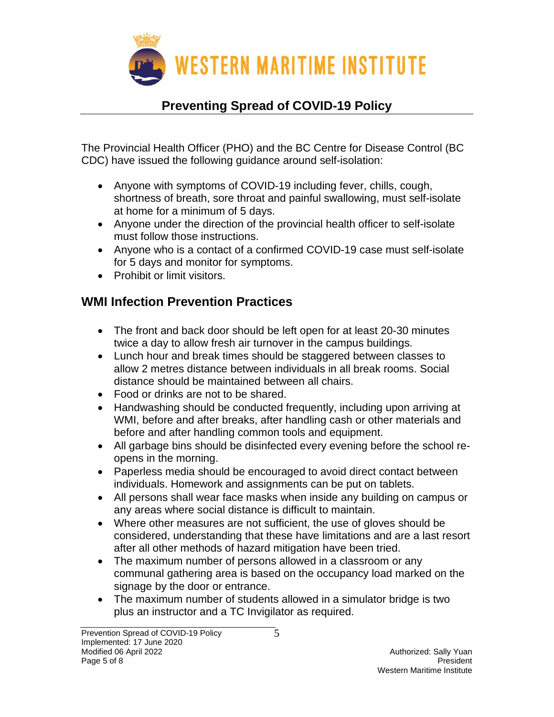

The Provincial Health Officer (PHO) and the BC Centre for Disease Control (BC CDC) have issued the following guidance around self-isolation:

- Anyone with symptoms of COVID-19 including fever, chills, cough, shortness of breath, sore throat and painful swallowing, must self-isolate at home for a minimum of 5 days.
- Anyone under the direction of the provincial health officer to self-isolate must follow those instructions.
- Anyone who is a contact of a confirmed COVID-19 case must self-isolate for 5 days and monitor for symptoms.
- Prohibit or limit visitors.

## **WMI Infection Prevention Practices**

- The front and back door should be left open for at least 20-30 minutes twice a day to allow fresh air turnover in the campus buildings.
- Lunch hour and break times should be staggered between classes to allow 2 metres distance between individuals in all break rooms. Social distance should be maintained between all chairs.
- Food or drinks are not to be shared.
- Handwashing should be conducted frequently, including upon arriving at WMI, before and after breaks, after handling cash or other materials and before and after handling common tools and equipment.
- All garbage bins should be disinfected every evening before the school reopens in the morning.
- Paperless media should be encouraged to avoid direct contact between individuals. Homework and assignments can be put on tablets.
- All persons shall wear face masks when inside any building on campus or any areas where social distance is difficult to maintain.
- Where other measures are not sufficient, the use of gloves should be considered, understanding that these have limitations and are a last resort after all other methods of hazard mitigation have been tried.
- The maximum number of persons allowed in a classroom or any communal gathering area is based on the occupancy load marked on the signage by the door or entrance.
- The maximum number of students allowed in a simulator bridge is two plus an instructor and a TC Invigilator as required.

5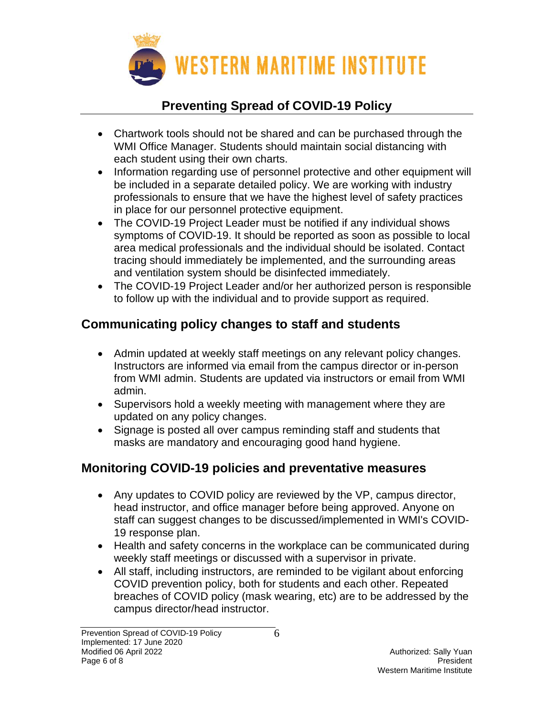

- Chartwork tools should not be shared and can be purchased through the WMI Office Manager. Students should maintain social distancing with each student using their own charts.
- Information regarding use of personnel protective and other equipment will be included in a separate detailed policy. We are working with industry professionals to ensure that we have the highest level of safety practices in place for our personnel protective equipment.
- The COVID-19 Project Leader must be notified if any individual shows symptoms of COVID-19. It should be reported as soon as possible to local area medical professionals and the individual should be isolated. Contact tracing should immediately be implemented, and the surrounding areas and ventilation system should be disinfected immediately.
- The COVID-19 Project Leader and/or her authorized person is responsible to follow up with the individual and to provide support as required.

# **Communicating policy changes to staff and students**

- Admin updated at weekly staff meetings on any relevant policy changes. Instructors are informed via email from the campus director or in-person from WMI admin. Students are updated via instructors or email from WMI admin.
- Supervisors hold a weekly meeting with management where they are updated on any policy changes.
- Signage is posted all over campus reminding staff and students that masks are mandatory and encouraging good hand hygiene.

## **Monitoring COVID-19 policies and preventative measures**

- Any updates to COVID policy are reviewed by the VP, campus director, head instructor, and office manager before being approved. Anyone on staff can suggest changes to be discussed/implemented in WMI's COVID-19 response plan.
- Health and safety concerns in the workplace can be communicated during weekly staff meetings or discussed with a supervisor in private.
- All staff, including instructors, are reminded to be vigilant about enforcing COVID prevention policy, both for students and each other. Repeated breaches of COVID policy (mask wearing, etc) are to be addressed by the campus director/head instructor.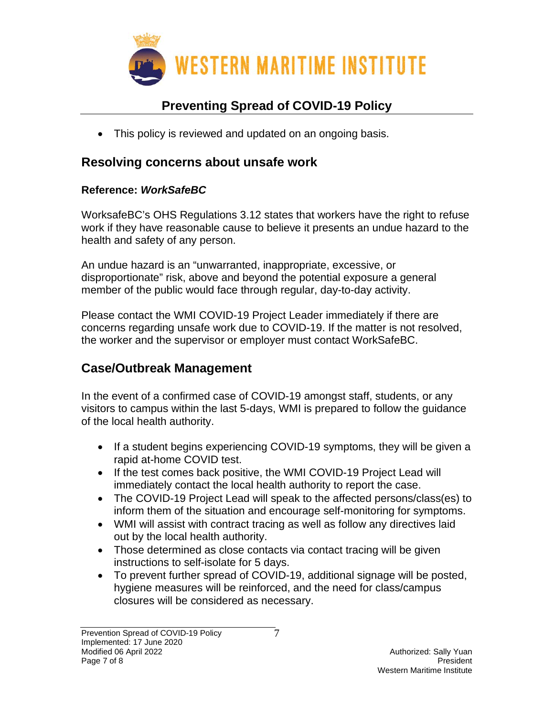

• This policy is reviewed and updated on an ongoing basis.

### **Resolving concerns about unsafe work**

### **Reference:** *WorkSafeBC*

WorksafeBC's OHS Regulations 3.12 states that workers have the right to refuse work if they have reasonable cause to believe it presents an undue hazard to the health and safety of any person.

An undue hazard is an "unwarranted, inappropriate, excessive, or disproportionate" risk, above and beyond the potential exposure a general member of the public would face through regular, day-to-day activity.

Please contact the WMI COVID-19 Project Leader immediately if there are concerns regarding unsafe work due to COVID-19. If the matter is not resolved, the worker and the supervisor or employer must contact WorkSafeBC.

## **Case/Outbreak Management**

In the event of a confirmed case of COVID-19 amongst staff, students, or any visitors to campus within the last 5-days, WMI is prepared to follow the guidance of the local health authority.

- If a student begins experiencing COVID-19 symptoms, they will be given a rapid at-home COVID test.
- If the test comes back positive, the WMI COVID-19 Project Lead will immediately contact the local health authority to report the case.
- The COVID-19 Project Lead will speak to the affected persons/class(es) to inform them of the situation and encourage self-monitoring for symptoms.
- WMI will assist with contract tracing as well as follow any directives laid out by the local health authority.
- Those determined as close contacts via contact tracing will be given instructions to self-isolate for 5 days.
- To prevent further spread of COVID-19, additional signage will be posted, hygiene measures will be reinforced, and the need for class/campus closures will be considered as necessary.

7